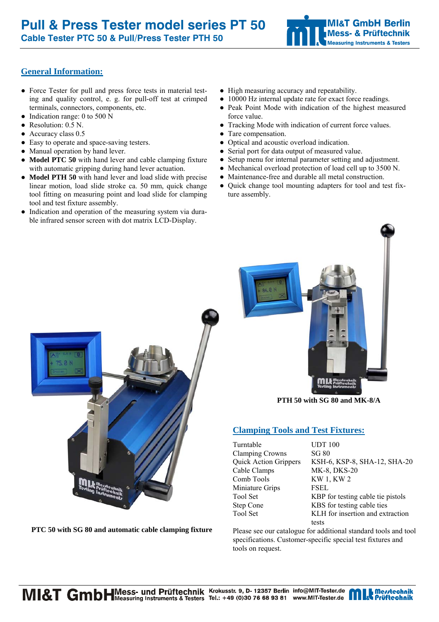# **General Information:**

- Force Tester for pull and press force tests in material testing and quality control, e. g. for pull-off test at crimped terminals, connectors, components, etc.
- Indication range: 0 to 500 N
- Resolution: 0.5 N.
- Accuracy class 0.5
- Easy to operate and space-saving testers.
- Manual operation by hand lever.
- **Model PTC 50** with hand lever and cable clamping fixture with automatic gripping during hand lever actuation.
- **Model PTH 50** with hand lever and load slide with precise linear motion, load slide stroke ca. 50 mm, quick change tool fitting on measuring point and load slide for clamping tool and test fixture assembly.
- Indication and operation of the measuring system via durable infrared sensor screen with dot matrix LCD-Display.
- High measuring accuracy and repeatability.
- 10000 Hz internal update rate for exact force readings.
- Peak Point Mode with indication of the highest measured force value.
- Tracking Mode with indication of current force values.
- Tare compensation.
- Optical and acoustic overload indication.
- Serial port for data output of measured value.
- Setup menu for internal parameter setting and adjustment.
- Mechanical overload protection of load cell up to 3500 N.
- Maintenance-free and durable all metal construction.
- Quick change tool mounting adapters for tool and test fixture assembly.



**PTC 50 with SG 80 and automatic cable clamping fixture** 



**PTH 50 with SG 80 and MK-8/A**

# **Clamping Tools and Test Fixtures:**

| Turntable                    |
|------------------------------|
| <b>Clamping Crowns</b>       |
| <b>Quick Action Grippers</b> |
| Cable Clamps                 |
| Comb Tools                   |
| Miniature Grips              |
| <b>Tool Set</b>              |
| <b>Step Cone</b>             |
| <b>Tool Set</b>              |
|                              |

**TIDT 100**  $SG 80$ KSH-6, KSP-8, SHA-12, SHA-20 MK-8, DKS-20 KW 1, KW 2 FSEL KBP for testing cable tie pistols KBS for testing cable ties KLH for insertion and extraction tests

Please see our catalogue for additional standard tools and tool specifications. Customer-specific special test fixtures and tools on request.